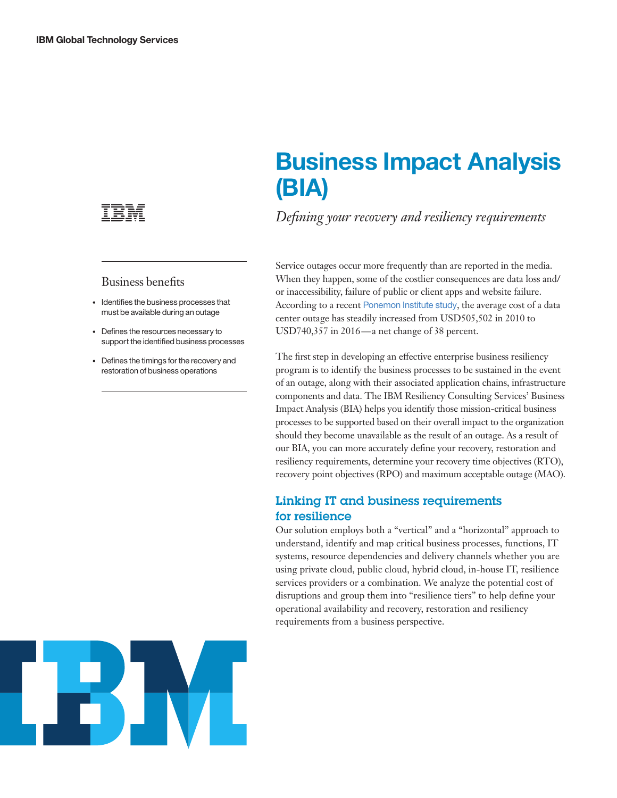

#### Business benefits

- Identifies the business processes that must be available during an outage
- Defines the resources necessary to support the identified business processes
- Defines the timings for the recovery and restoration of business operations

# **Business Impact Analysis (BIA)**

*Defining your recovery and resiliency requirements*

Service outages occur more frequently than are reported in the media. When they happen, some of the costlier consequences are data loss and/ or inaccessibility, failure of public or client apps and website failure. According to a recent [Ponemon Institute study](https://www.ibm.com/services/us/en/it-services/business-continuity/impact-of-business-continuity-management), the average cost of a data center outage has steadily increased from USD505,502 in 2010 to USD740,357 in 2016 — a net change of 38 percent.

The first step in developing an effective enterprise business resiliency program is to identify the business processes to be sustained in the event of an outage, along with their associated application chains, infrastructure components and data. The IBM Resiliency Consulting Services' Business Impact Analysis (BIA) helps you identify those mission-critical business processes to be supported based on their overall impact to the organization should they become unavailable as the result of an outage. As a result of our BIA, you can more accurately define your recovery, restoration and resiliency requirements, determine your recovery time objectives (RTO), recovery point objectives (RPO) and maximum acceptable outage (MAO).

### Linking IT and business requirements for resilience

Our solution employs both a "vertical" and a "horizontal" approach to understand, identify and map critical business processes, functions, IT systems, resource dependencies and delivery channels whether you are using private cloud, public cloud, hybrid cloud, in-house IT, resilience services providers or a combination. We analyze the potential cost of disruptions and group them into "resilience tiers" to help define your operational availability and recovery, restoration and resiliency requirements from a business perspective.